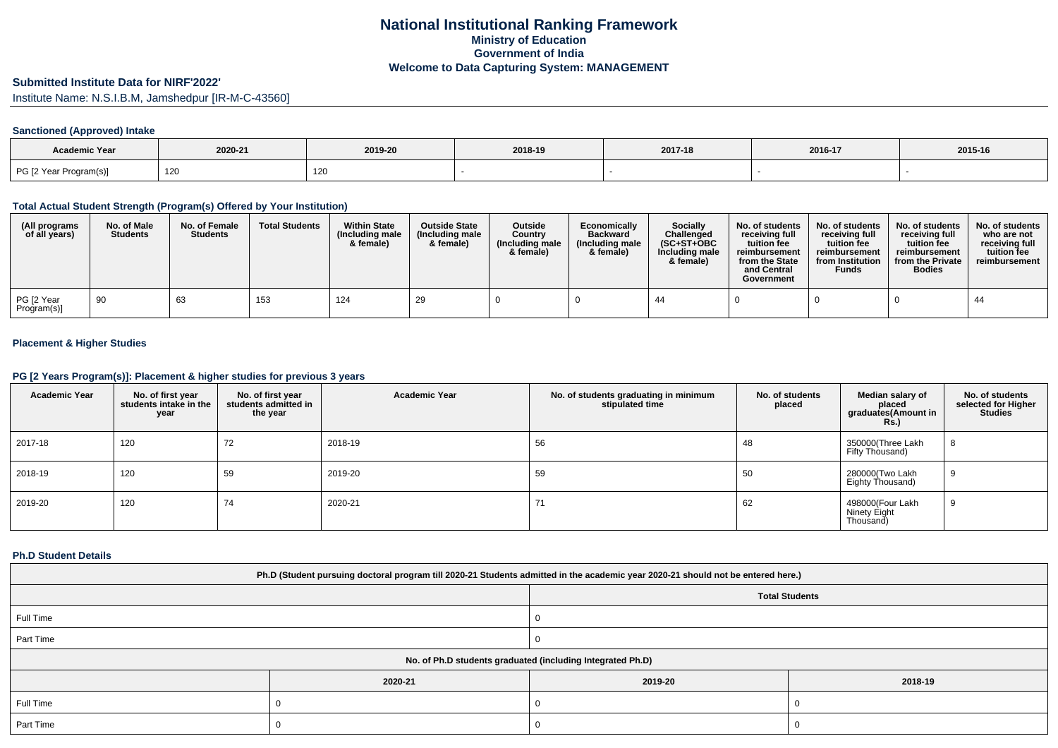# **Submitted Institute Data for NIRF'2022'**

Institute Name: N.S.I.B.M, Jamshedpur [IR-M-C-43560]

## **Sanctioned (Approved) Intake**

| <b>Academic Year</b>   |         |         |         |         |         |         |
|------------------------|---------|---------|---------|---------|---------|---------|
|                        | 2020-21 | 2019-20 | 2018-19 | 2017-18 | 2016-17 | 2015-16 |
| PG [2 Year Program(s)] | 120     | 120     |         |         |         |         |

### **Total Actual Student Strength (Program(s) Offered by Your Institution)**

| (All programs<br>of all years) | No. of Male<br><b>Students</b> | No. of Female<br><b>Students</b> | <b>Total Students</b> | <b>Within State</b><br>(Including male<br>& female) | <b>Outside State</b><br>(Including male)<br>& female) | <b>Outside</b><br>Country<br>(Including male<br>& female) | Economically<br><b>Backward</b><br>(Including male<br>& female) | <b>Socially</b><br>Challenged<br>$(SC+ST+OBC)$<br>Including male<br>& female) | No. of students<br>receivina full<br>tuition fee<br>reimbursement<br>from the State<br>and Central<br>Government | No. of students<br>receiving full<br>tuition fee<br>reimbursement<br>from Institution<br><b>Funds</b> | No. of students<br>receiving full<br>tuition fee<br>reimbursement<br>from the Private<br><b>Bodies</b> | No. of students<br>who are not<br>receiving full<br>tuition fee<br>reimbursement |
|--------------------------------|--------------------------------|----------------------------------|-----------------------|-----------------------------------------------------|-------------------------------------------------------|-----------------------------------------------------------|-----------------------------------------------------------------|-------------------------------------------------------------------------------|------------------------------------------------------------------------------------------------------------------|-------------------------------------------------------------------------------------------------------|--------------------------------------------------------------------------------------------------------|----------------------------------------------------------------------------------|
| PG [2 Year<br>Program(s)]      | 90                             | 63                               | 153                   | 124                                                 | 29                                                    |                                                           |                                                                 | -44                                                                           |                                                                                                                  |                                                                                                       |                                                                                                        | 44                                                                               |

## **Placement & Higher Studies**

## **PG [2 Years Program(s)]: Placement & higher studies for previous 3 years**

| <b>Academic Year</b> | No. of first year<br>students intake in the<br>year | No. of first year<br>students admitted in<br>the year | <b>Academic Year</b> | No. of students graduating in minimum<br>stipulated time | No. of students<br>placed | Median salary of<br>placed<br>graduates(Amount in<br><b>Rs.)</b> | No. of students<br>selected for Higher<br><b>Studies</b> |
|----------------------|-----------------------------------------------------|-------------------------------------------------------|----------------------|----------------------------------------------------------|---------------------------|------------------------------------------------------------------|----------------------------------------------------------|
| 2017-18              | 120                                                 | 72                                                    | 2018-19              | 56                                                       | 48                        | 350000(Three Lakh<br>Fifty Thousand)                             | 8                                                        |
| 2018-19              | 120                                                 | 59                                                    | 2019-20              | 59                                                       | 50                        | 280000(Two Lakh<br>Eighty Thousand)                              | 9                                                        |
| 2019-20              | 120                                                 | 74                                                    | 2020-21              | 71                                                       | 62                        | 498000(Four Lakh<br>Ninety Eight<br>Thousand                     | 9                                                        |

### **Ph.D Student Details**

| Ph.D (Student pursuing doctoral program till 2020-21 Students admitted in the academic year 2020-21 should not be entered here.) |         |                       |         |  |  |  |
|----------------------------------------------------------------------------------------------------------------------------------|---------|-----------------------|---------|--|--|--|
|                                                                                                                                  |         | <b>Total Students</b> |         |  |  |  |
| Full Time                                                                                                                        |         |                       |         |  |  |  |
| Part Time                                                                                                                        |         |                       |         |  |  |  |
| No. of Ph.D students graduated (including Integrated Ph.D)                                                                       |         |                       |         |  |  |  |
|                                                                                                                                  | 2020-21 | 2019-20               | 2018-19 |  |  |  |
| Full Time                                                                                                                        |         |                       |         |  |  |  |
| Part Time                                                                                                                        |         |                       |         |  |  |  |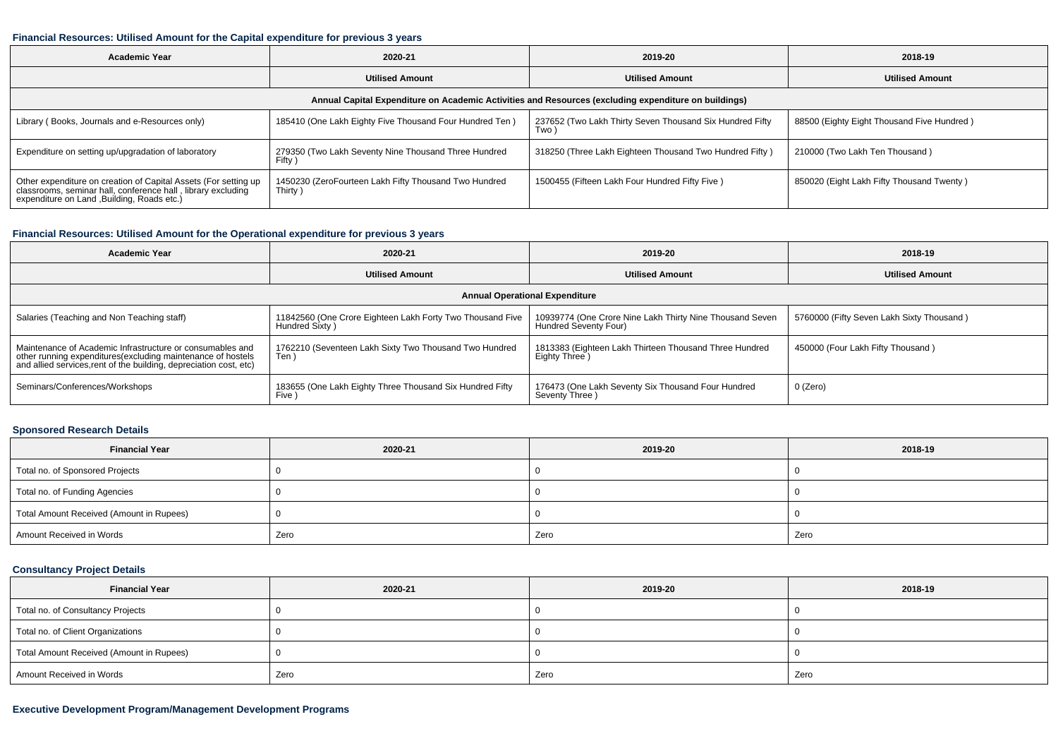#### **Financial Resources: Utilised Amount for the Capital expenditure for previous 3 years**

| <b>Academic Year</b>                                                                                                                                                                                                                               | 2020-21                                                        | 2019-20                                                          | 2018-19                                    |  |  |  |  |  |
|----------------------------------------------------------------------------------------------------------------------------------------------------------------------------------------------------------------------------------------------------|----------------------------------------------------------------|------------------------------------------------------------------|--------------------------------------------|--|--|--|--|--|
|                                                                                                                                                                                                                                                    | <b>Utilised Amount</b>                                         | <b>Utilised Amount</b>                                           | <b>Utilised Amount</b>                     |  |  |  |  |  |
| Annual Capital Expenditure on Academic Activities and Resources (excluding expenditure on buildings)                                                                                                                                               |                                                                |                                                                  |                                            |  |  |  |  |  |
| Library (Books, Journals and e-Resources only)                                                                                                                                                                                                     | 185410 (One Lakh Eighty Five Thousand Four Hundred Ten)        | 237652 (Two Lakh Thirty Seven Thousand Six Hundred Fifty<br>Two) | 88500 (Eighty Eight Thousand Five Hundred) |  |  |  |  |  |
| Expenditure on setting up/upgradation of laboratory                                                                                                                                                                                                | 279350 (Two Lakh Seventy Nine Thousand Three Hundred<br>Fifty) | 318250 (Three Lakh Eighteen Thousand Two Hundred Fifty)          | 210000 (Two Lakh Ten Thousand)             |  |  |  |  |  |
| Other expenditure on creation of Capital Assets (For setting up<br>1450230 (ZeroFourteen Lakh Fifty Thousand Two Hundred<br>classrooms, seminar hall, conference hall, library excluding<br>Thirty)<br>expenditure on Land , Building, Roads etc.) |                                                                | 1500455 (Fifteen Lakh Four Hundred Fifty Five)                   | 850020 (Eight Lakh Fifty Thousand Twenty)  |  |  |  |  |  |

## **Financial Resources: Utilised Amount for the Operational expenditure for previous 3 years**

| <b>Academic Year</b>                                                                                                                                                                           | 2020-21                                                                     | 2019-20                                                                           | 2018-19                                   |  |  |  |  |  |
|------------------------------------------------------------------------------------------------------------------------------------------------------------------------------------------------|-----------------------------------------------------------------------------|-----------------------------------------------------------------------------------|-------------------------------------------|--|--|--|--|--|
|                                                                                                                                                                                                | <b>Utilised Amount</b>                                                      |                                                                                   | <b>Utilised Amount</b>                    |  |  |  |  |  |
| <b>Annual Operational Expenditure</b>                                                                                                                                                          |                                                                             |                                                                                   |                                           |  |  |  |  |  |
| Salaries (Teaching and Non Teaching staff)                                                                                                                                                     | 11842560 (One Crore Eighteen Lakh Forty Two Thousand Five<br>Hundred Sixty) | 10939774 (One Crore Nine Lakh Thirty Nine Thousand Seven<br>Hundred Seventy Four) | 5760000 (Fifty Seven Lakh Sixty Thousand) |  |  |  |  |  |
| Maintenance of Academic Infrastructure or consumables and<br>other running expenditures(excluding maintenance of hostels<br>and allied services, rent of the building, depreciation cost, etc) | 1762210 (Seventeen Lakh Sixty Two Thousand Two Hundred<br>Ten <sup>'</sup>  | 1813383 (Eighteen Lakh Thirteen Thousand Three Hundred<br>Eighty Three)           | 450000 (Four Lakh Fifty Thousand)         |  |  |  |  |  |
| Seminars/Conferences/Workshops                                                                                                                                                                 | 183655 (One Lakh Eighty Three Thousand Six Hundred Fifty<br>Five )          | 176473 (One Lakh Seventy Six Thousand Four Hundred<br>Seventy Three)              | 0 (Zero)                                  |  |  |  |  |  |

## **Sponsored Research Details**

| <b>Financial Year</b>                    | 2020-21 | 2019-20 | 2018-19 |
|------------------------------------------|---------|---------|---------|
| Total no. of Sponsored Projects          |         |         |         |
| Total no. of Funding Agencies            |         |         |         |
| Total Amount Received (Amount in Rupees) |         |         |         |
| Amount Received in Words                 | Zero    | Zero    | Zero    |

## **Consultancy Project Details**

| <b>Financial Year</b>                    | 2020-21 | 2019-20 | 2018-19 |
|------------------------------------------|---------|---------|---------|
| Total no. of Consultancy Projects        |         |         |         |
| Total no. of Client Organizations        |         |         |         |
| Total Amount Received (Amount in Rupees) |         |         |         |
| Amount Received in Words                 | Zero    | Zero    | Zero    |